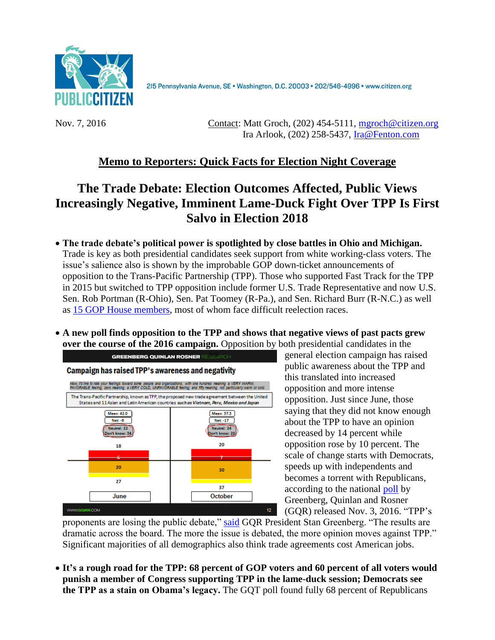

215 Pennsylvania Avenue, SE · Washington, D.C. 20003 · 202/546-4996 · www.citizen.org

Nov. 7, 2016 Contact: Matt Groch, (202) 454-5111, [mgroch@citizen.org](mailto:mgroch@citizen.org)  Ira Arlook, (202) 258-5437, [Ira@Fenton.com](mailto:Ira@Fenton.com)

## **Memo to Reporters: Quick Facts for Election Night Coverage**

## **The Trade Debate: Election Outcomes Affected, Public Views Increasingly Negative, Imminent Lame-Duck Fight Over TPP Is First Salvo in Election 2018**

- **The trade debate's political power is spotlighted by close battles in Ohio and Michigan.**  Trade is key as both presidential candidates seek support from white working-class voters. The issue's salience also is shown by the improbable GOP down-ticket announcements of opposition to the Trans-Pacific Partnership (TPP). Those who supported Fast Track for the TPP in 2015 but switched to TPP opposition include former U.S. Trade Representative and now U.S. Sen. Rob Portman (R-Ohio), Sen. Pat Toomey (R-Pa.), and Sen. Richard Burr (R-N.C.) as well as [15 GOP House members,](http://www.citizen.org/documents/Congressional-List-TPA-TPP.pdf) most of whom face difficult reelection races.
- **A new poll finds opposition to the TPP and shows that negative views of past pacts grew over the course of the 2016 campaign.** Opposition by both presidential candidates in the



general election campaign has raised public awareness about the TPP and this translated into increased opposition and more intense opposition. Just since June, those saying that they did not know enough about the TPP to have an opinion decreased by 14 percent while opposition rose by 10 percent. The scale of change starts with Democrats, speeds up with independents and becomes a torrent with Republicans, according to the national [poll](http://www.democracycorps.com/attachments/article/1053/Dcorps_PC_Oct%20National_10.27.2016_final.pdf?ct=t%28Public+Citizen+June+National+Release%29) by Greenberg, Quinlan and Rosner (GQR) released Nov. 3, 2016. "TPP's

proponents are losing the public debate," [said](http://www.democracycorps.com/attachments/article/1053/Dcor_Public%20Citizen_October%20National_Memo_11.4.2016_final.pdf?ct=t%28Public+Citizen+June+National+Release%29) GQR President Stan Greenberg. "The results are dramatic across the board. The more the issue is debated, the more opinion moves against TPP." Significant majorities of all demographics also think trade agreements cost American jobs.

 **It's a rough road for the TPP: 68 percent of GOP voters and 60 percent of all voters would punish a member of Congress supporting TPP in the lame-duck session; Democrats see the TPP as a stain on Obama's legacy.** The GQT poll found fully 68 percent of Republicans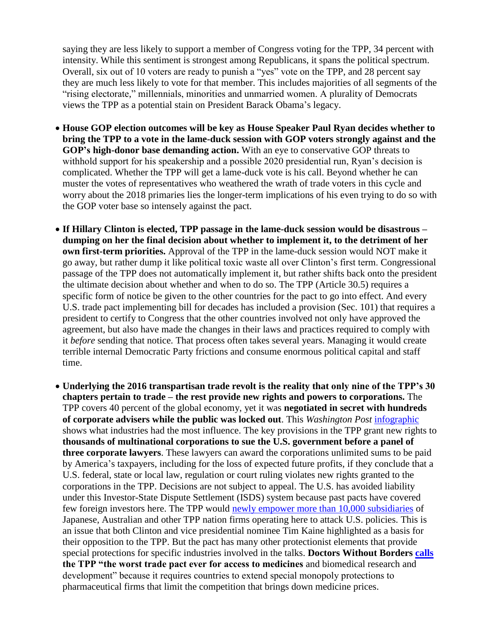saying they are less likely to support a member of Congress voting for the TPP, 34 percent with intensity. While this sentiment is strongest among Republicans, it spans the political spectrum. Overall, six out of 10 voters are ready to punish a "yes" vote on the TPP, and 28 percent say they are much less likely to vote for that member. This includes majorities of all segments of the "rising electorate," millennials, minorities and unmarried women. A plurality of Democrats views the TPP as a potential stain on President Barack Obama's legacy.

- **House GOP election outcomes will be key as House Speaker Paul Ryan decides whether to bring the TPP to a vote in the lame-duck session with GOP voters strongly against and the GOP's high-donor base demanding action.** With an eye to conservative GOP threats to withhold support for his speakership and a possible 2020 presidential run, Ryan's decision is complicated. Whether the TPP will get a lame-duck vote is his call. Beyond whether he can muster the votes of representatives who weathered the wrath of trade voters in this cycle and worry about the 2018 primaries lies the longer-term implications of his even trying to do so with the GOP voter base so intensely against the pact.
- **If Hillary Clinton is elected, TPP passage in the lame-duck session would be disastrous – dumping on her the final decision about whether to implement it, to the detriment of her own first-term priorities.** Approval of the TPP in the lame-duck session would NOT make it go away, but rather dump it like political toxic waste all over Clinton's first term. Congressional passage of the TPP does not automatically implement it, but rather shifts back onto the president the ultimate decision about whether and when to do so. The TPP (Article 30.5) requires a specific form of notice be given to the other countries for the pact to go into effect. And every U.S. trade pact implementing bill for decades has included a provision (Sec. 101) that requires a president to certify to Congress that the other countries involved not only have approved the agreement, but also have made the changes in their laws and practices required to comply with it *before* sending that notice. That process often takes several years. Managing it would create terrible internal Democratic Party frictions and consume enormous political capital and staff time.
- **Underlying the 2016 transpartisan trade revolt is the reality that only nine of the TPP's 30 chapters pertain to trade – the rest provide new rights and powers to corporations.** The TPP covers 40 percent of the global economy, yet it was **negotiated in secret with hundreds of corporate advisers while the public was locked out**. This *Washington Post* [infographic](https://www.washingtonpost.com/business/economy/trade-deals-a-closely-held-secret-shared-by-more-than-500-advisers/2014/02/28/7daa65ec-9d99-11e3-a050-dc3322a94fa7_story.html) shows what industries had the most influence. The key provisions in the TPP grant new rights to **thousands of multinational corporations to sue the U.S. government before a panel of three corporate lawyers**. These lawyers can award the corporations unlimited sums to be paid by America's taxpayers, including for the loss of expected future profits, if they conclude that a U.S. federal, state or local law, regulation or court ruling violates new rights granted to the corporations in the TPP. Decisions are not subject to appeal. The U.S. has avoided liability under this Investor-State Dispute Settlement (ISDS) system because past pacts have covered few foreign investors here. The TPP would [newly empower more than 10,000 subsidiaries](http://www.citizen.org/Page.aspx?pid=4083) of Japanese, Australian and other TPP nation firms operating here to attack U.S. policies. This is an issue that both Clinton and vice presidential nominee Tim Kaine highlighted as a basis for their opposition to the TPP. But the pact has many other protectionist elements that provide special protections for specific industries involved in the talks. **Doctors Without Borders [calls](http://www.doctorswithoutborders.org/bad-deal-medicine) the TPP "the worst trade pact ever for access to medicines** and biomedical research and development" because it requires countries to extend special monopoly protections to pharmaceutical firms that limit the competition that brings down medicine prices.